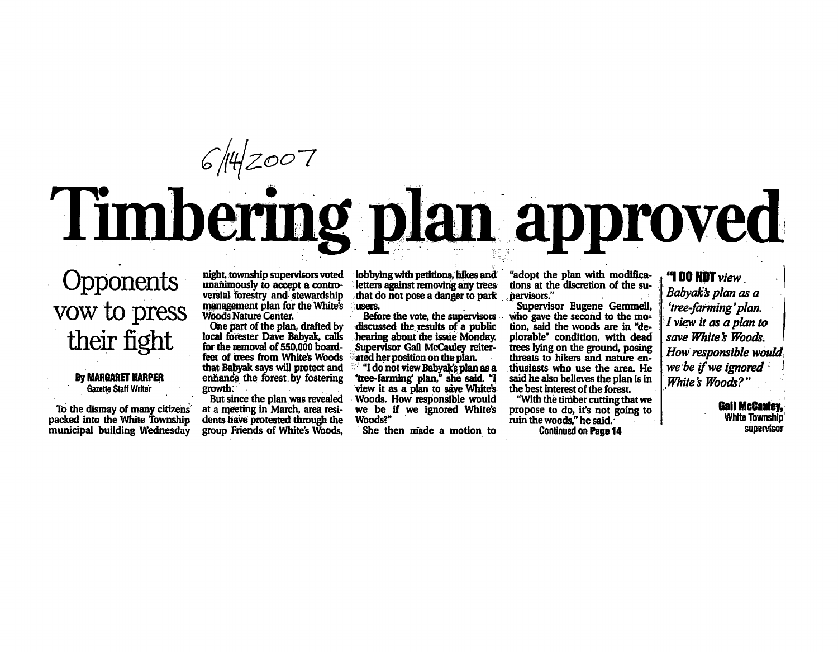# **Timbering plan approved**

### **Opponents** vow to press their fight

#### By MAR6ARET HARPER Gazette Staff Writer

To the dismay of many citizens packed into the White Township municipal building Wednesday

night, township supervisors voted unanimously to accept a controversial forestry and stewardship management plan for the White's Woods Nature Center.

One part of the plan, drafted by local forester Dave Babyak, calls for the removal of 550,000 boardfeet of dees from White's Woods that Babyak says will protect and enhance the forest.by fostering growth.'

But since the plan was revealed at a meeting in March, area residents have protested through the group Friends of White's Woods,

lobbying with petitions, hikes and letters against removing any trees that do not pose a danger to park users.

Before the vote, the supervisors discussed the results of a public hearing about the issue Monday. Supervisor Gail McCauley reiterated her position on the plan.

 $^{\circ\circ}$  "I do not view Babyak's plan as a "tree-farming' plan," she said. "I view it as a plan to save White's Woods. How responsible would Woods?"

She then made a motion to

"adopt the plan with modifica tions at the discretion of the su pervisors."

Supervisor Eugene Gemmell, who gave the second to the motion, said the woods are in "de plorable" condition, with dead trees tying on the ground, posing threats to hikers and nature en thusiasts who use the area. He said he also believes the plan is in the best interest of the forest

we be if we ignored White's propose to do, it's not going to "With the timber cutting that we ruin the woods," he said. Continued on Page 14

"I DO NOT view Babyak's plan as a 'tree-farming'plan. I view it as a plan to save White's Woods. How responsible would we be if we ignored White's Woods?"

> **Gall McCauley,** White Township' supervisor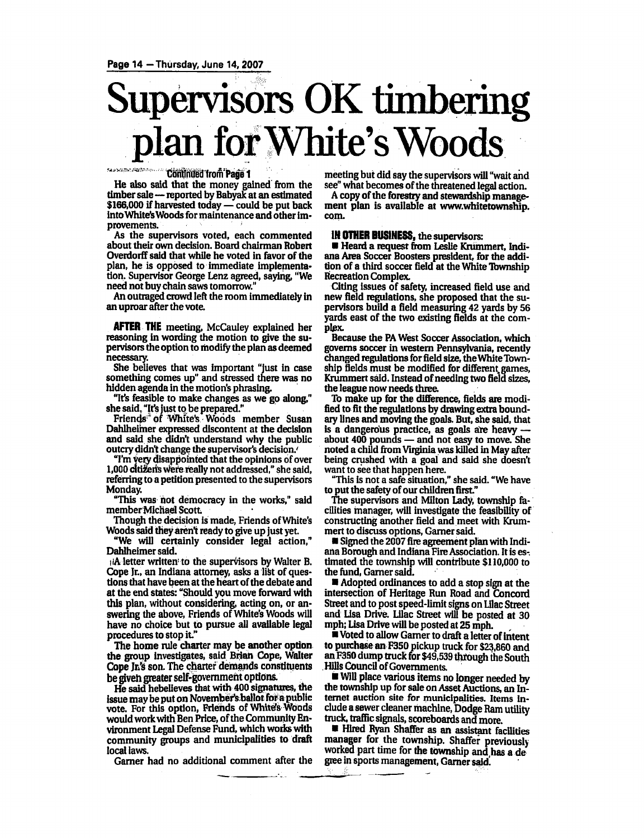## Supervisors OK timbering plan for White's Woods

**SAU WALTER PRODUCTION CON-Continued from Page 1** 

He also said that the money gained from the timber sale—reported by Babyak at an estimated  $$166,000$  if harvested today  $-$  could be put back into White's Woods for maintenance and other im provements.

As the supervisors voted, each commented about their own decision. Board chairman Robert Overdorff said that while he voted in favor of the plan, he is opposed to immediate implementa tion. Supervisor George Lenz agreed, saying, "We need not buy chain saws tomorrow."

An outraged crowd left the room immediately in an uproar after the vote.

AFTER THE meeting, McCauley explained her reasoning in wording the motion to give the su pervisors the option to modify the plan as deemed necessary.

She believes that was important "just in case something comes up" and stressed there was no hidden agenda in the motion's phrasing.

"It's feasible to make changes as we go along," she said. "It's just to be prepared."

Friends' of White's Woods member Susan Dahlheimer expressed discontent at the decision and said she didn't understand why the public outcry didn't change the supervisor's decision.'

"I'm Very disappointed that the opinions of over 1,000 cttiferfs were really not addressed," she said, referring to a petition presented to the supervisors Monday.

"This was hot democracy in the works," said member Michael Scott

Though the decision is made, Friends of White's Woods said they aren't ready to give up just yet.

"We will certainly consider legal action," Dahlheimer said.

 $i$ A letter written to the supervisors by Walter B. Cope Jr., an Indiana attorney, asks a list of questions that have been at the heart of the debate and at the end states: "Should you move forward with this plan, without considering, acting on, or an swering the above, Friends of White's Woods will have no choice but to pursue all available legal procedures to stop it"

The home rule charter may be another option. the group investigates, said Brian Cope, Walter Cope Jr's son. The charter demands constituents be giveh greater self-government options.

He said hebelieves that with 400 signatures, die issue may be put on November's ballot for a public vote. For this option, Friends of Whites Woods would work with Ben Price, of the Community En vironment Legal Defense Fund, which works with community groups and municipalities to draft local laws.

Garner had no additional comment after the

meeting but did say the supervisors will "wait and see" what becomes of the threatened legal action.

A copy of the forestry and stewardship management plan is available at www.whitetownship. com.

#### IN OTHER BUSINESS, the supervisors:

Heard a request from Leslie Krummert, Indiana Area Soccer Boosters president, for the addi tion of a third soccer field at the White Township Recreation Complex.

Citing issues of safety, increased Geld use and new field regulations, she proposed that the su pervisors build a field measuring 42 yards by 56 yards east of the two existing fields at the com plex

Because the PA West Soccer Association, which governs soccer in western Pennsylvania, recently changed regulations for field size, theWhite Town ship fields must be modified for different, games, Krummert said. Instead of needing two field sizes, the league now needs three

To make up for the difference, fields are modi fied to fit the regulations by drawing extra bound ary lines and moving the goals. But, she said, that is dangerous practice, as goals are heavy about 400 pounds and not easy to move. She noted a child from Virginia was killed in May after being crushed with a goal and said she doesn't want to see that happen here.

"This is not safe situation," she said. "We have to put the safety of our children first."

The supervisors and Milton Lady, township fa cilities manager, will investigate the feasibility of constructing another field and meet with Krum mert to discuss options, Gamer said.

**Signed the 2007 fire agreement plan with Indi**ana Borough and Indiana Fire Association. It is es timated the township will contribute \$110,000 to the fund, Garner said.

Adopted ordinances to add stop sign at the intersection of Heritage Run Road and Concord Street and to post speed-limit signs on Lilac Street and Lisa Drive. Lilac Street will be posted at 30 mph; lisa Drive will be posted at 25 mph.

Voted to allow Garner to draft a letter of intent to purchase an F350 pickup truck for \$23,860 and an F350 dump truck for \$49,539 through the South Hills Council of Governments.

Will place various items no longer needed by the township up for sale on Asset Auctions, an In ternet auction site for municipalities. Items in clude sewer cleaner machine, Dodge Ram utility truck, traffic signals, scoreboards and more.

Hired Ryan Shaffer as an assistant facilities manager for the township. Shaffer previously worked part time for the township and has a de gree in sports management, Garner said.